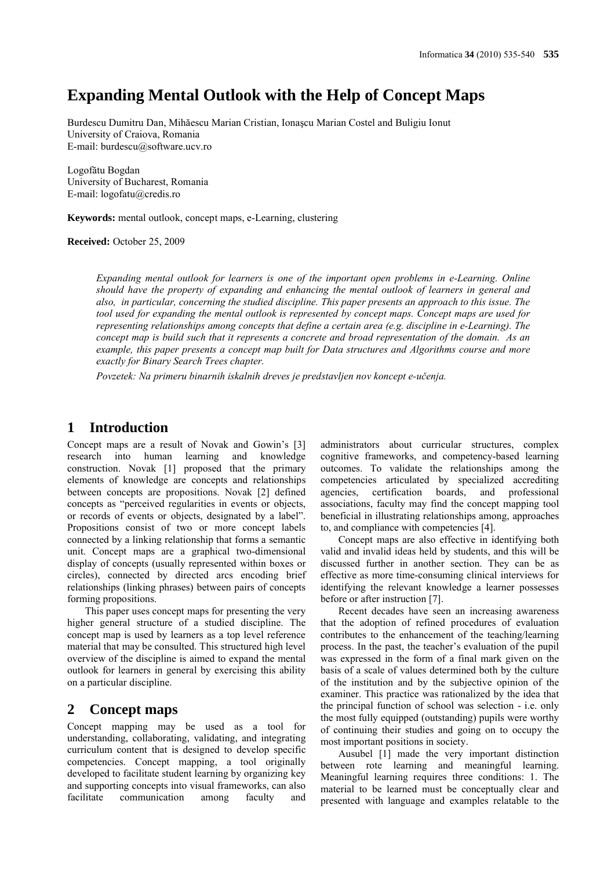# **Expanding Mental Outlook with the Help of Concept Maps**

Burdescu Dumitru Dan, Mihăescu Marian Cristian, Ionaşcu Marian Costel and Buligiu Ionut University of Craiova, Romania E-mail: burdescu@software.ucv.ro

Logofătu Bogdan University of Bucharest, Romania E-mail: logofatu@credis.ro

**Keywords:** mental outlook, concept maps, e-Learning, clustering

**Received:** October 25, 2009

*Expanding mental outlook for learners is one of the important open problems in e-Learning. Online should have the property of expanding and enhancing the mental outlook of learners in general and also, in particular, concerning the studied discipline. This paper presents an approach to this issue. The tool used for expanding the mental outlook is represented by concept maps. Concept maps are used for representing relationships among concepts that define a certain area (e.g. discipline in e-Learning). The concept map is build such that it represents a concrete and broad representation of the domain. As an example, this paper presents a concept map built for Data structures and Algorithms course and more exactly for Binary Search Trees chapter.*

*Povzetek: Na primeru binarnih iskalnih dreves je predstavljen nov koncept e-učenja.*

## **1 Introduction**

Concept maps are a result of Novak and Gowin's [3] research into human learning and knowledge construction. Novak [1] proposed that the primary elements of knowledge are concepts and relationships between concepts are propositions. Novak [2] defined concepts as "perceived regularities in events or objects, or records of events or objects, designated by a label". Propositions consist of two or more concept labels connected by a linking relationship that forms a semantic unit. Concept maps are a graphical two-dimensional display of concepts (usually represented within boxes or circles), connected by directed arcs encoding brief relationships (linking phrases) between pairs of concepts forming propositions.

This paper uses concept maps for presenting the very higher general structure of a studied discipline. The concept map is used by learners as a top level reference material that may be consulted. This structured high level overview of the discipline is aimed to expand the mental outlook for learners in general by exercising this ability on a particular discipline.

## **2 Concept maps**

Concept mapping may be used as a tool for understanding, collaborating, validating, and integrating curriculum content that is designed to develop specific competencies. Concept mapping, a tool originally developed to facilitate student learning by organizing key and supporting concepts into visual frameworks, can also facilitate communication among faculty and

administrators about curricular structures, complex cognitive frameworks, and competency-based learning outcomes. To validate the relationships among the competencies articulated by specialized accrediting agencies, certification boards, and professional associations, faculty may find the concept mapping tool beneficial in illustrating relationships among, approaches to, and compliance with competencies [4].

Concept maps are also effective in identifying both valid and invalid ideas held by students, and this will be discussed further in another section. They can be as effective as more time-consuming clinical interviews for identifying the relevant knowledge a learner possesses before or after instruction [7].

Recent decades have seen an increasing awareness that the adoption of refined procedures of evaluation contributes to the enhancement of the teaching/learning process. In the past, the teacher's evaluation of the pupil was expressed in the form of a final mark given on the basis of a scale of values determined both by the culture of the institution and by the subjective opinion of the examiner. This practice was rationalized by the idea that the principal function of school was selection - i.e. only the most fully equipped (outstanding) pupils were worthy of continuing their studies and going on to occupy the most important positions in society.

Ausubel [1] made the very important distinction between rote learning and meaningful learning. Meaningful learning requires three conditions: 1. The material to be learned must be conceptually clear and presented with language and examples relatable to the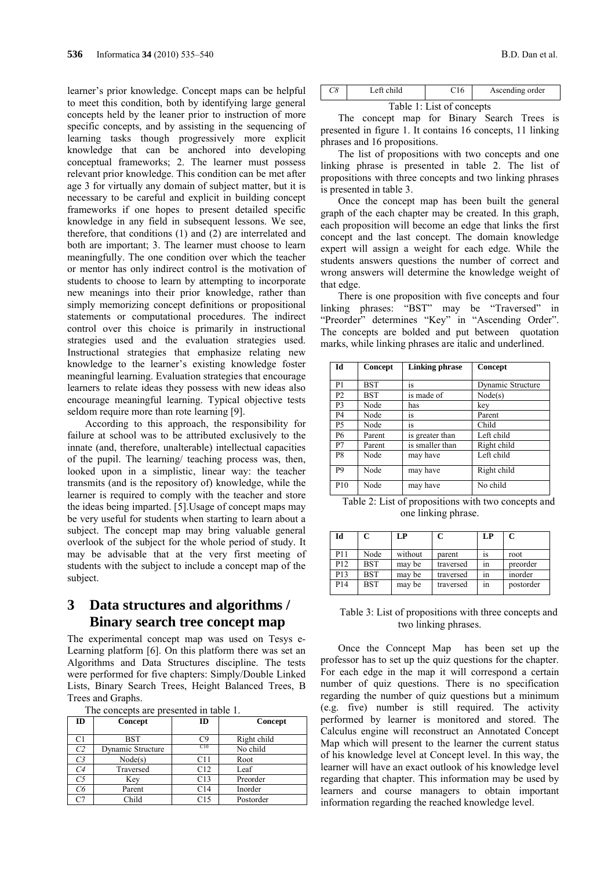learner's prior knowledge. Concept maps can be helpful to meet this condition, both by identifying large general concepts held by the leaner prior to instruction of more specific concepts, and by assisting in the sequencing of learning tasks though progressively more explicit knowledge that can be anchored into developing conceptual frameworks; 2. The learner must possess relevant prior knowledge. This condition can be met after age 3 for virtually any domain of subject matter, but it is necessary to be careful and explicit in building concept frameworks if one hopes to present detailed specific knowledge in any field in subsequent lessons. We see, therefore, that conditions (1) and (2) are interrelated and both are important; 3. The learner must choose to learn meaningfully. The one condition over which the teacher or mentor has only indirect control is the motivation of students to choose to learn by attempting to incorporate new meanings into their prior knowledge, rather than simply memorizing concept definitions or propositional statements or computational procedures. The indirect control over this choice is primarily in instructional strategies used and the evaluation strategies used. Instructional strategies that emphasize relating new knowledge to the learner's existing knowledge foster meaningful learning. Evaluation strategies that encourage learners to relate ideas they possess with new ideas also encourage meaningful learning. Typical objective tests seldom require more than rote learning [9].

According to this approach, the responsibility for failure at school was to be attributed exclusively to the innate (and, therefore, unalterable) intellectual capacities of the pupil. The learning/ teaching process was, then, looked upon in a simplistic, linear way: the teacher transmits (and is the repository of) knowledge, while the learner is required to comply with the teacher and store the ideas being imparted. [5].Usage of concept maps may be very useful for students when starting to learn about a subject. The concept map may bring valuable general overlook of the subject for the whole period of study. It may be advisable that at the very first meeting of students with the subject to include a concept map of the subject.

## **3 Data structures and algorithms / Binary search tree concept map**

The experimental concept map was used on Tesys e-Learning platform [6]. On this platform there was set an Algorithms and Data Structures discipline. The tests were performed for five chapters: Simply/Double Linked Lists, Binary Search Trees, Height Balanced Trees, B Trees and Graphs.

|  | The concepts are presented in table 1. |  |  |  |  |  |
|--|----------------------------------------|--|--|--|--|--|
|--|----------------------------------------|--|--|--|--|--|

| ID             | Concept           | ID  | Concept     |
|----------------|-------------------|-----|-------------|
| C1             | <b>BST</b>        | C9  | Right child |
| C2             | Dynamic Structure | CI0 | No child    |
| C <sub>3</sub> | Node(s)           | C11 | Root        |
| C4             | Traversed         | C12 | Leaf        |
| C <sub>5</sub> | Key               | C13 | Preorder    |
| Cб             | Parent            | C14 | Inorder     |
| C7             | Child             | C15 | Postorder   |

| UU | Left child |  | Ascending order |
|----|------------|--|-----------------|
|    |            |  |                 |

Table 1: List of concepts

The concept map for Binary Search Trees is presented in figure 1. It contains 16 concepts, 11 linking phrases and 16 propositions.

The list of propositions with two concepts and one linking phrase is presented in table 2. The list of propositions with three concepts and two linking phrases is presented in table 3.

Once the concept map has been built the general graph of the each chapter may be created. In this graph, each proposition will become an edge that links the first concept and the last concept. The domain knowledge expert will assign a weight for each edge. While the students answers questions the number of correct and wrong answers will determine the knowledge weight of that edge.

There is one proposition with five concepts and four linking phrases: "BST" may be "Traversed" in "Preorder" determines "Key" in "Ascending Order". The concepts are bolded and put between quotation marks, while linking phrases are italic and underlined.

| Id              | Concept | <b>Linking phrase</b> | Concept           |
|-----------------|---------|-----------------------|-------------------|
| P <sub>1</sub>  | BST     | 1S                    | Dynamic Structure |
| P <sub>2</sub>  | BST     | is made of            | Node(s)           |
| P <sub>3</sub>  | Node    | has                   | key               |
| <b>P4</b>       | Node    | 1S                    | Parent            |
| <b>P5</b>       | Node    | 1S                    | Child             |
| <b>P6</b>       | Parent  | is greater than       | Left child        |
| P7              | Parent  | is smaller than       | Right child       |
| P <sub>8</sub>  | Node    | may have              | Left child        |
| P9              | Node    | may have              | Right child       |
| P <sub>10</sub> | Node    | may have              | No child          |

Table 2: List of propositions with two concepts and one linking phrase.

| Id              |            | LP      | C         | LP | C         |
|-----------------|------------|---------|-----------|----|-----------|
| P11             | Node       | without | parent    | 1S | root      |
| P <sub>12</sub> | <b>BST</b> | may be  | traversed | ın | preorder  |
| P13             | <b>BST</b> | may be  | traversed | ın | inorder   |
| P <sub>14</sub> | <b>BST</b> | may be  | traversed | ın | postorder |

Table 3: List of propositions with three concepts and two linking phrases.

Once the Conncept Map has been set up the professor has to set up the quiz questions for the chapter. For each edge in the map it will correspond a certain number of quiz questions. There is no specification regarding the number of quiz questions but a minimum (e.g. five) number is still required. The activity performed by learner is monitored and stored. The Calculus engine will reconstruct an Annotated Concept Map which will present to the learner the current status of his knowledge level at Concept level. In this way, the learner will have an exact outlook of his knowledge level regarding that chapter. This information may be used by learners and course managers to obtain important information regarding the reached knowledge level.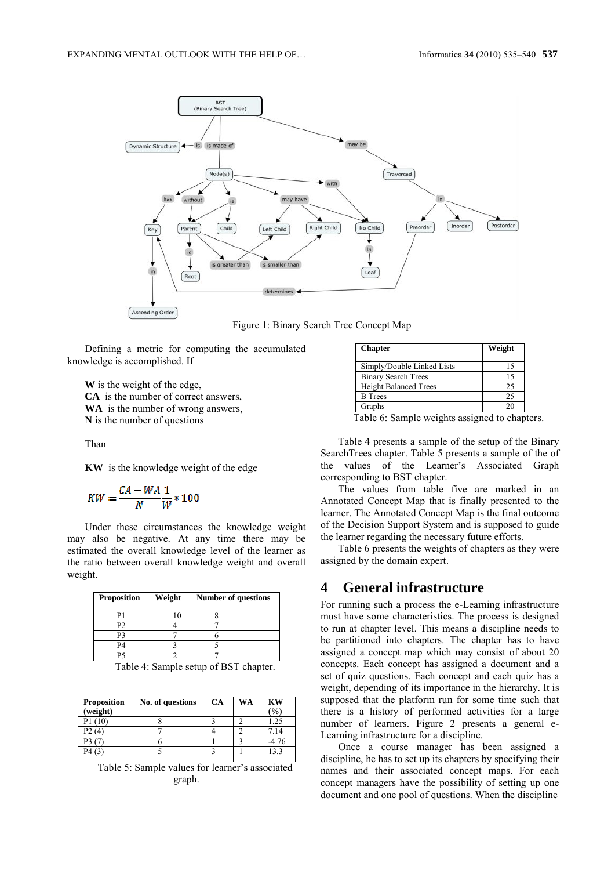

Figure 1: Binary Search Tree Concept Map

Defining a metric for computing the accumulated knowledge is accomplished. If

**W** is the weight of the edge, **CA** is the number of correct answers, **WA** is the number of wrong answers, **N** is the number of questions

Than

**KW** is the knowledge weight of the edge

$$
KW=\frac{CA-WA}{N}\frac{1}{W}*100
$$

Under these circumstances the knowledge weight may also be negative. At any time there may be estimated the overall knowledge level of the learner as the ratio between overall knowledge weight and overall weight.

| <b>Proposition</b> | Weight | <b>Number of questions</b> |
|--------------------|--------|----------------------------|
| Р1                 | 10     |                            |
| P <sub>2</sub>     |        |                            |
| P?                 |        |                            |
| P4                 |        |                            |
| P٩                 |        |                            |
| . .                |        | $\sim$                     |

Table 4: Sample setup of BST chapter.

| <b>Proposition</b><br>(weight) | No. of questions | CA | WA | <b>KW</b><br>$\frac{9}{0}$ |
|--------------------------------|------------------|----|----|----------------------------|
| P1(10)                         |                  |    |    | 1.25                       |
| P2 (4)                         |                  |    |    | 7.14                       |
| P3 (7                          |                  |    |    | $-4.76$                    |
| P4(3)                          |                  |    |    | 13.3                       |

Table 5: Sample values for learner's associated graph.

| <b>Chapter</b>               | Weight |
|------------------------------|--------|
| Simply/Double Linked Lists   | 15     |
| <b>Binary Search Trees</b>   | 15     |
| <b>Height Balanced Trees</b> | 25     |
| <b>B</b> Trees               | 25     |
| Graphs                       | 20     |

Table 6: Sample weights assigned to chapters.

Table 4 presents a sample of the setup of the Binary SearchTrees chapter. Table 5 presents a sample of the of the values of the Learner's Associated Graph corresponding to BST chapter.

The values from table five are marked in an Annotated Concept Map that is finally presented to the learner. The Annotated Concept Map is the final outcome of the Decision Support System and is supposed to guide the learner regarding the necessary future efforts.

Table 6 presents the weights of chapters as they were assigned by the domain expert.

#### **4 General infrastructure**

For running such a process the e-Learning infrastructure must have some characteristics. The process is designed to run at chapter level. This means a discipline needs to be partitioned into chapters. The chapter has to have assigned a concept map which may consist of about 20 concepts. Each concept has assigned a document and a set of quiz questions. Each concept and each quiz has a weight, depending of its importance in the hierarchy. It is supposed that the platform run for some time such that there is a history of performed activities for a large number of learners. Figure 2 presents a general e-Learning infrastructure for a discipline.

Once a course manager has been assigned a discipline, he has to set up its chapters by specifying their names and their associated concept maps. For each concept managers have the possibility of setting up one document and one pool of questions. When the discipline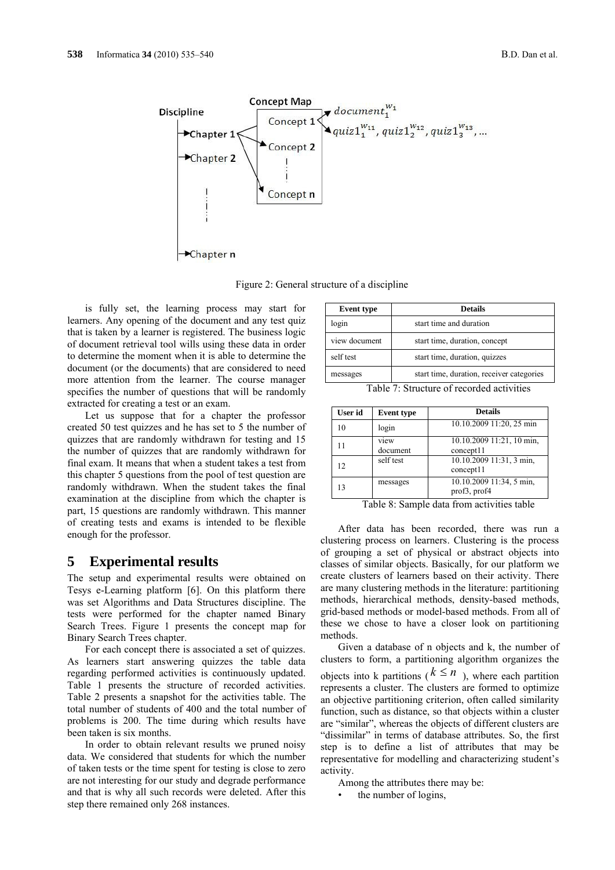

Figure 2: General structure of a discipline

is fully set, the learning process may start for learners. Any opening of the document and any test quiz that is taken by a learner is registered. The business logic of document retrieval tool wills using these data in order to determine the moment when it is able to determine the document (or the documents) that are considered to need more attention from the learner. The course manager specifies the number of questions that will be randomly extracted for creating a test or an exam.

Let us suppose that for a chapter the professor created 50 test quizzes and he has set to 5 the number of quizzes that are randomly withdrawn for testing and 15 the number of quizzes that are randomly withdrawn for final exam. It means that when a student takes a test from this chapter 5 questions from the pool of test question are randomly withdrawn. When the student takes the final examination at the discipline from which the chapter is part, 15 questions are randomly withdrawn. This manner of creating tests and exams is intended to be flexible enough for the professor.

#### **5 Experimental results**

The setup and experimental results were obtained on Tesys e-Learning platform [6]. On this platform there was set Algorithms and Data Structures discipline. The tests were performed for the chapter named Binary Search Trees. Figure 1 presents the concept map for Binary Search Trees chapter.

For each concept there is associated a set of quizzes. As learners start answering quizzes the table data regarding performed activities is continuously updated. Table 1 presents the structure of recorded activities. Table 2 presents a snapshot for the activities table. The total number of students of 400 and the total number of problems is 200. The time during which results have been taken is six months.

In order to obtain relevant results we pruned noisy data. We considered that students for which the number of taken tests or the time spent for testing is close to zero are not interesting for our study and degrade performance and that is why all such records were deleted. After this step there remained only 268 instances.

| <b>Event type</b> | <b>Details</b>                            |
|-------------------|-------------------------------------------|
| login             | start time and duration                   |
| view document     | start time, duration, concept             |
| self test         | start time, duration, quizzes             |
| messages          | start time, duration, receiver categories |

Table 7: Structure of recorded activities

| User id | <b>Event type</b> | <b>Details</b>                           |
|---------|-------------------|------------------------------------------|
| 10      | login             | 10.10.2009 11:20, 25 min                 |
|         | view<br>document  | 10.10.2009 11:21, 10 min.<br>concept11   |
| 12      | self test         | 10.10.2009 11:31, 3 min.<br>concept11    |
| 13      | messages          | 10.10.2009 11:34, 5 min.<br>prof3, prof4 |

Table 8: Sample data from activities table

After data has been recorded, there was run a clustering process on learners. Clustering is the process of grouping a set of physical or abstract objects into classes of similar objects. Basically, for our platform we create clusters of learners based on their activity. There are many clustering methods in the literature: partitioning methods, hierarchical methods, density-based methods, grid-based methods or model-based methods. From all of these we chose to have a closer look on partitioning methods.

Given a database of n objects and k, the number of clusters to form, a partitioning algorithm organizes the objects into k partitions ( $k \le n$ ), where each partition represents a cluster. The clusters are formed to optimize an objective partitioning criterion, often called similarity function, such as distance, so that objects within a cluster are "similar", whereas the objects of different clusters are "dissimilar" in terms of database attributes. So, the first step is to define a list of attributes that may be representative for modelling and characterizing student's activity.

Among the attributes there may be:

the number of logins,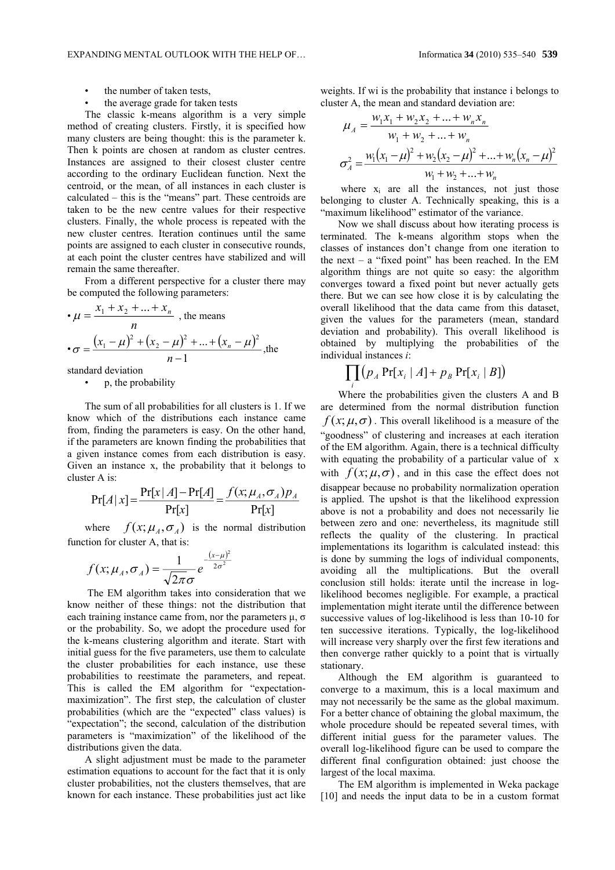- the number of taken tests,
- the average grade for taken tests

The classic k-means algorithm is a very simple method of creating clusters. Firstly, it is specified how many clusters are being thought: this is the parameter k. Then k points are chosen at random as cluster centres. Instances are assigned to their closest cluster centre according to the ordinary Euclidean function. Next the centroid, or the mean, of all instances in each cluster is calculated – this is the "means" part. These centroids are taken to be the new centre values for their respective clusters. Finally, the whole process is repeated with the new cluster centres. Iteration continues until the same points are assigned to each cluster in consecutive rounds, at each point the cluster centres have stabilized and will remain the same thereafter.

From a different perspective for a cluster there may be computed the following parameters:

$$
\bullet \mu = \frac{x_1 + x_2 + \dots + x_n}{n}, \text{ the means}
$$

$$
\bullet \sigma = \frac{(x_1 - \mu)^2 + (x_2 - \mu)^2 + \dots + (x_n - \mu)^2}{n - 1}, \text{ the}
$$

standard deviation

• p, the probability

The sum of all probabilities for all clusters is 1. If we know which of the distributions each instance came from, finding the parameters is easy. On the other hand, if the parameters are known finding the probabilities that a given instance comes from each distribution is easy. Given an instance x, the probability that it belongs to cluster A is:

$$
Pr[A \mid x] = \frac{Pr[x \mid A] - Pr[A]}{Pr[x]} = \frac{f(x; \mu_A, \sigma_A) p_A}{Pr[x]}
$$

where  $f(x; \mu_A, \sigma_A)$  is the normal distribution function for cluster A, that is:

$$
f(x; \mu_A, \sigma_A) = \frac{1}{\sqrt{2\pi}\sigma} e^{-\frac{(x-\mu)^2}{2\sigma^2}}
$$

The EM algorithm takes into consideration that we know neither of these things: not the distribution that each training instance came from, nor the parameters  $\mu$ ,  $\sigma$ or the probability. So, we adopt the procedure used for the k-means clustering algorithm and iterate. Start with initial guess for the five parameters, use them to calculate the cluster probabilities for each instance, use these probabilities to reestimate the parameters, and repeat. This is called the EM algorithm for "expectationmaximization". The first step, the calculation of cluster probabilities (which are the "expected" class values) is "expectation"; the second, calculation of the distribution parameters is "maximization" of the likelihood of the distributions given the data.

A slight adjustment must be made to the parameter estimation equations to account for the fact that it is only cluster probabilities, not the clusters themselves, that are known for each instance. These probabilities just act like weights. If wi is the probability that instance i belongs to cluster A, the mean and standard deviation are:

$$
\mu_A = \frac{w_1 x_1 + w_2 x_2 + \dots + w_n x_n}{w_1 + w_2 + \dots + w_n}
$$

$$
\sigma_A^2 = \frac{w_1 (x_1 - \mu)^2 + w_2 (x_2 - \mu)^2 + \dots + w_n (x_n - \mu)^2}{w_1 + w_2 + \dots + w_n}
$$

where  $x_i$  are all the instances, not just those belonging to cluster A. Technically speaking, this is a "maximum likelihood" estimator of the variance.

Now we shall discuss about how iterating process is terminated. The k-means algorithm stops when the classes of instances don't change from one iteration to the next – a "fixed point" has been reached. In the EM algorithm things are not quite so easy: the algorithm converges toward a fixed point but never actually gets there. But we can see how close it is by calculating the overall likelihood that the data came from this dataset, given the values for the parameters (mean, standard deviation and probability). This overall likelihood is obtained by multiplying the probabilities of the individual instances *i*:

$$
\prod_i (p_A \Pr[x_i \mid A] + p_B \Pr[x_i \mid B])
$$

Where the probabilities given the clusters A and B are determined from the normal distribution function  $f(x; \mu, \sigma)$ . This overall likelihood is a measure of the "goodness" of clustering and increases at each iteration of the EM algorithm. Again, there is a technical difficulty with equating the probability of a particular value of x with  $f(x; \mu, \sigma)$ , and in this case the effect does not disappear because no probability normalization operation is applied. The upshot is that the likelihood expression above is not a probability and does not necessarily lie between zero and one: nevertheless, its magnitude still reflects the quality of the clustering. In practical implementations its logarithm is calculated instead: this is done by summing the logs of individual components, avoiding all the multiplications. But the overall conclusion still holds: iterate until the increase in loglikelihood becomes negligible. For example, a practical implementation might iterate until the difference between successive values of log-likelihood is less than 10-10 for ten successive iterations. Typically, the log-likelihood will increase very sharply over the first few iterations and then converge rather quickly to a point that is virtually stationary.

Although the EM algorithm is guaranteed to converge to a maximum, this is a local maximum and may not necessarily be the same as the global maximum. For a better chance of obtaining the global maximum, the whole procedure should be repeated several times, with different initial guess for the parameter values. The overall log-likelihood figure can be used to compare the different final configuration obtained: just choose the largest of the local maxima.

The EM algorithm is implemented in Weka package [10] and needs the input data to be in a custom format